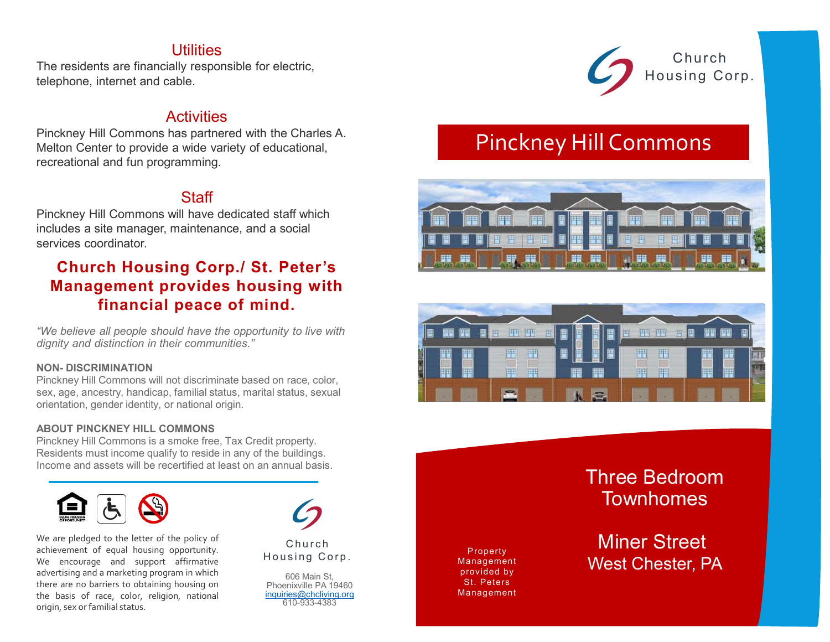# **Utilities**

The residents are financially responsible for electric, telephone, internet and cable.

# **Activities**

Pinckney Hill Commons has partnered with the Charles A. Melton Center to provide a wide variety of educational, recreational and fun programming.

# **Staff**

Pinckney Hill Commons will have dedicated staff which includes a site manager, maintenance, and a social services coordinator.

# Church Housing Corp./ St. Peter's Management provides housing with financial peace of mind. **Activities**<br>
Melton Center to provide a wide variety of educational,<br>
mecreational and fun programming.<br>
Staff<br>
Pinckney Hill Commons will have dedicated staff which<br>
includes a site manager, maintenance, and a social<br>
se

"We believe all people should have the opportunity to live with dignity and distinction in their communities."

Pinckney Hill Commons will not discriminate based on race, color, sex, age, ancestry, handicap, familial status, marital status, sexual orientation, gender identity, or national origin.

## ABOUT PINCKNEY HILL COMMONS

Pinckney Hill Commons is a smoke free, Tax Credit property. Residents must income qualify to reside in any of the buildings. Income and assets will be recertified at least on an annual basis.



**Example the state of the control of the control of the control and the state of equal housing of equal housing opportunity.**<br>
The dignity and distinction in their communities."<br>
NON-DISCRIMINATION<br>
PINCKney Hill Commons **The courage and Support and Support Control** (Support and Support and Support and Support and Support and Support and Interior communities."<br>
NON-DISCRIMINATION<br>
PIRCARY HII Commons will not discriminate based on race, c **Example Should have the opportunity to live with**<br>
dignity and distinction in their communities."<br>
NON-DISCRIMINATION<br>
Pinckney Hill Commons will not discriminate based on race, color,<br>
Finckney Hill Commons will not disc "We believe all people should have the opportunity to live with<br>
idignity and distinction in their communities."<br>
NOM- DISCRIMINATION<br>
PINCKney Hill Commons will not discriminate based on race, color,<br>
sex, age, ancestry, We be the policy and a marketing model of religion, national<br>
the basis of race, color, and color, religion, and color, religion, and color, and color, and color, and colorinal color, religion, in their communities."<br>
ABOU originity and distinction in their communities.<br>
NON-DISCRIMINATION<br>
Pinckhey Hill Commons will not discriminate based on race, color,<br>
sex, age, ancestry, handicap, familial status, marital status, sexual<br>
orientation, ge



606 Main St, Phoenixville PA 19460 inquiries@chcliving.org 610-933-4383



# Pinckney Hill Commons





Property Management provided by St. Peters Management Three Bedroom Townhomes

Miner Street West Chester, PA